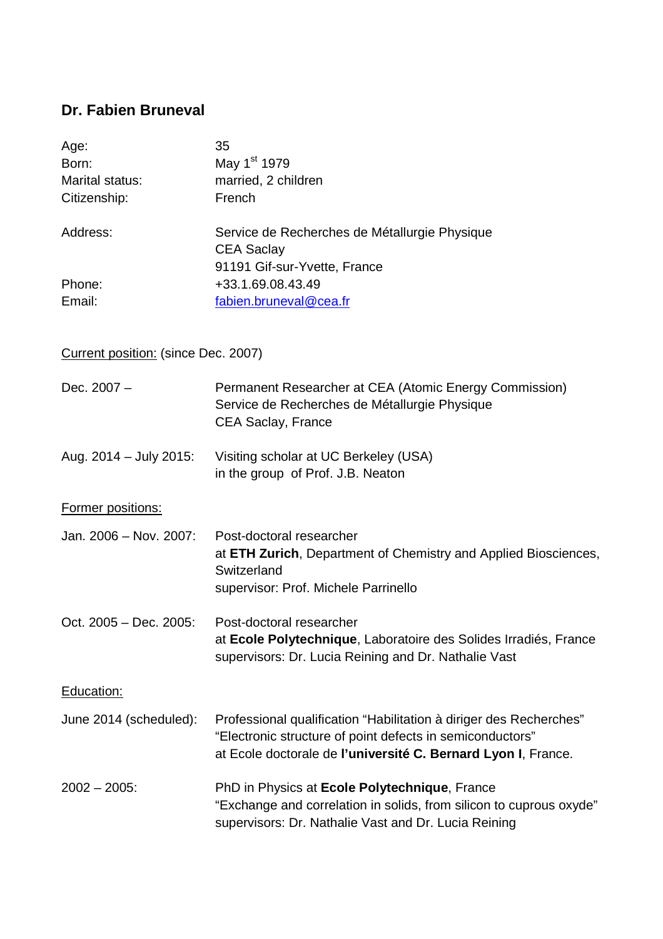# **Dr. Fabien Bruneval**

| Age:            | 35                                                                 |
|-----------------|--------------------------------------------------------------------|
| Born:           | May 1 <sup>st</sup> 1979                                           |
| Marital status: | married, 2 children                                                |
| Citizenship:    | French                                                             |
| Address:        | Service de Recherches de Métallurgie Physique<br><b>CEA Saclay</b> |
|                 | 91191 Gif-sur-Yvette, France                                       |
| Phone:          | +33.1.69.08.43.49                                                  |
| Email:          | fabien.bruneval@cea.fr                                             |

# Current position: (since Dec. 2007)

| Dec. $2007 -$          | Permanent Researcher at CEA (Atomic Energy Commission)<br>Service de Recherches de Métallurgie Physique<br><b>CEA Saclay, France</b>                                                             |
|------------------------|--------------------------------------------------------------------------------------------------------------------------------------------------------------------------------------------------|
| Aug. 2014 - July 2015: | Visiting scholar at UC Berkeley (USA)<br>in the group of Prof. J.B. Neaton                                                                                                                       |
| Former positions:      |                                                                                                                                                                                                  |
| Jan. 2006 - Nov. 2007: | Post-doctoral researcher<br>at ETH Zurich, Department of Chemistry and Applied Biosciences,<br>Switzerland<br>supervisor: Prof. Michele Parrinello                                               |
| Oct. 2005 - Dec. 2005: | Post-doctoral researcher<br>at Ecole Polytechnique, Laboratoire des Solides Irradiés, France<br>supervisors: Dr. Lucia Reining and Dr. Nathalie Vast                                             |
| Education:             |                                                                                                                                                                                                  |
| June 2014 (scheduled): | Professional qualification "Habilitation à diriger des Recherches"<br>"Electronic structure of point defects in semiconductors"<br>at Ecole doctorale de l'université C. Bernard Lyon I, France. |
| $2002 - 2005$ :        | PhD in Physics at Ecole Polytechnique, France<br>"Exchange and correlation in solids, from silicon to cuprous oxyde"<br>supervisors: Dr. Nathalie Vast and Dr. Lucia Reining                     |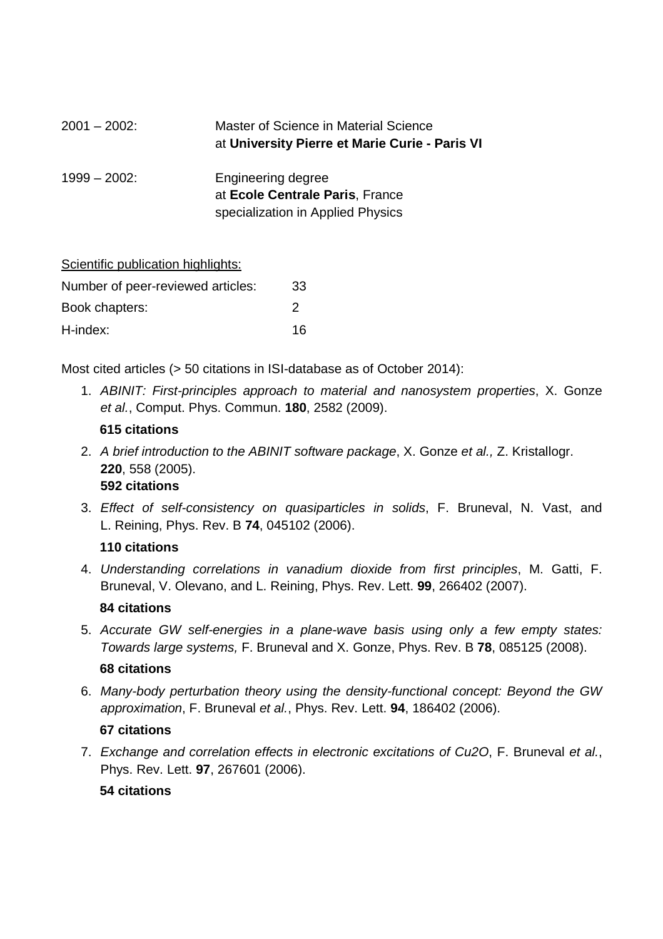| $2001 - 2002$   | Master of Science in Material Science<br>at University Pierre et Marie Curie - Paris VI    |
|-----------------|--------------------------------------------------------------------------------------------|
| $1999 - 2002$ : | Engineering degree<br>at Ecole Centrale Paris, France<br>specialization in Applied Physics |

| Scientific publication highlights: |    |
|------------------------------------|----|
| Number of peer-reviewed articles:  | 33 |
| Book chapters:                     | 2  |
| H-index:                           | 16 |

Most cited articles (> 50 citations in ISI-database as of October 2014):

1. ABINIT: First-principles approach to material and nanosystem properties, X. Gonze et al., Comput. Phys. Commun. **180**, 2582 (2009).

#### **615 citations**

2. A brief introduction to the ABINIT software package, X. Gonze et al., Z. Kristallogr. **220**, 558 (2005).

## **592 citations**

3. Effect of self-consistency on quasiparticles in solids, F. Bruneval, N. Vast, and L. Reining, Phys. Rev. B **74**, 045102 (2006).

#### **110 citations**

4. Understanding correlations in vanadium dioxide from first principles, M. Gatti, F. Bruneval, V. Olevano, and L. Reining, Phys. Rev. Lett. **99**, 266402 (2007).

#### **84 citations**

5. Accurate GW self-energies in a plane-wave basis using only a few empty states: Towards large systems, F. Bruneval and X. Gonze, Phys. Rev. B **78**, 085125 (2008).

#### **68 citations**

6. Many-body perturbation theory using the density-functional concept: Beyond the GW approximation, F. Bruneval et al., Phys. Rev. Lett. **94**, 186402 (2006).

#### **67 citations**

7. Exchange and correlation effects in electronic excitations of Cu2O, F. Bruneval et al., Phys. Rev. Lett. **97**, 267601 (2006).

#### **54 citations**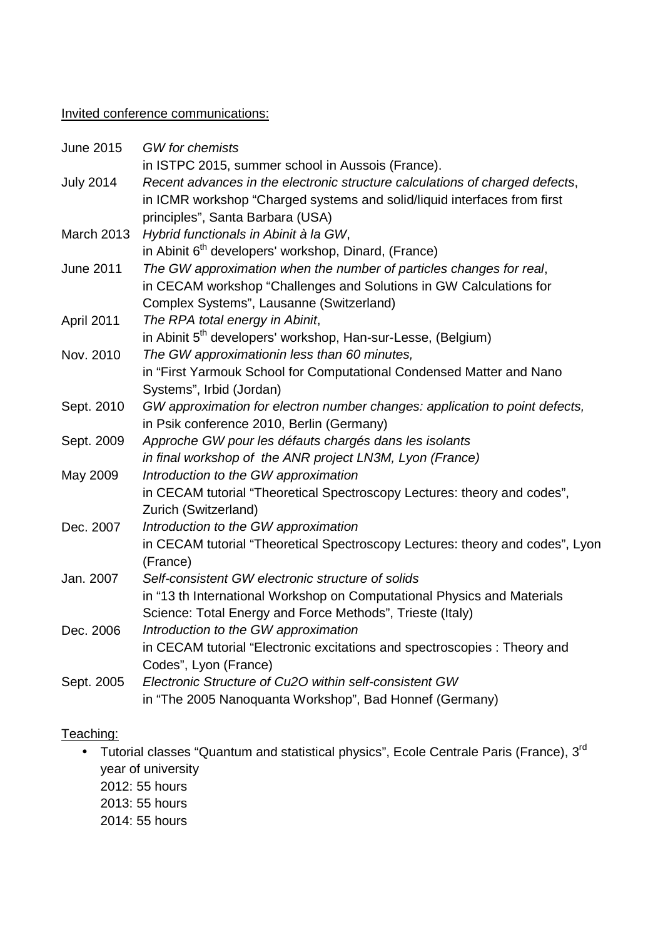## Invited conference communications:

| <b>June 2015</b>  | <b>GW</b> for chemists                                                                                       |
|-------------------|--------------------------------------------------------------------------------------------------------------|
|                   | in ISTPC 2015, summer school in Aussois (France).                                                            |
| <b>July 2014</b>  | Recent advances in the electronic structure calculations of charged defects,                                 |
|                   | in ICMR workshop "Charged systems and solid/liquid interfaces from first<br>principles", Santa Barbara (USA) |
| <b>March 2013</b> | Hybrid functionals in Abinit à la GW,                                                                        |
|                   | in Abinit 6 <sup>th</sup> developers' workshop, Dinard, (France)                                             |
| <b>June 2011</b>  | The GW approximation when the number of particles changes for real,                                          |
|                   | in CECAM workshop "Challenges and Solutions in GW Calculations for                                           |
|                   | Complex Systems", Lausanne (Switzerland)                                                                     |
| April 2011        | The RPA total energy in Abinit,                                                                              |
|                   | in Abinit 5 <sup>th</sup> developers' workshop, Han-sur-Lesse, (Belgium)                                     |
| Nov. 2010         | The GW approximationin less than 60 minutes,                                                                 |
|                   | in "First Yarmouk School for Computational Condensed Matter and Nano                                         |
|                   | Systems", Irbid (Jordan)                                                                                     |
| Sept. 2010        | GW approximation for electron number changes: application to point defects,                                  |
|                   | in Psik conference 2010, Berlin (Germany)                                                                    |
| Sept. 2009        | Approche GW pour les défauts chargés dans les isolants                                                       |
|                   | in final workshop of the ANR project LN3M, Lyon (France)                                                     |
| May 2009          | Introduction to the GW approximation                                                                         |
|                   | in CECAM tutorial "Theoretical Spectroscopy Lectures: theory and codes",                                     |
|                   | Zurich (Switzerland)                                                                                         |
| Dec. 2007         | Introduction to the GW approximation                                                                         |
|                   | in CECAM tutorial "Theoretical Spectroscopy Lectures: theory and codes", Lyon                                |
|                   | (France)                                                                                                     |
| Jan. 2007         | Self-consistent GW electronic structure of solids                                                            |
|                   | in "13 th International Workshop on Computational Physics and Materials                                      |
|                   | Science: Total Energy and Force Methods", Trieste (Italy)                                                    |
| Dec. 2006         | Introduction to the GW approximation                                                                         |
|                   | in CECAM tutorial "Electronic excitations and spectroscopies : Theory and                                    |
|                   | Codes", Lyon (France)                                                                                        |
| Sept. 2005        | Electronic Structure of Cu2O within self-consistent GW                                                       |
|                   | in "The 2005 Nanoquanta Workshop", Bad Honnef (Germany)                                                      |

## Teaching:

- Tutorial classes "Quantum and statistical physics", Ecole Centrale Paris (France), 3<sup>rd</sup> year of university 2012: 55 hours
	- 2013: 55 hours
	- 2014: 55 hours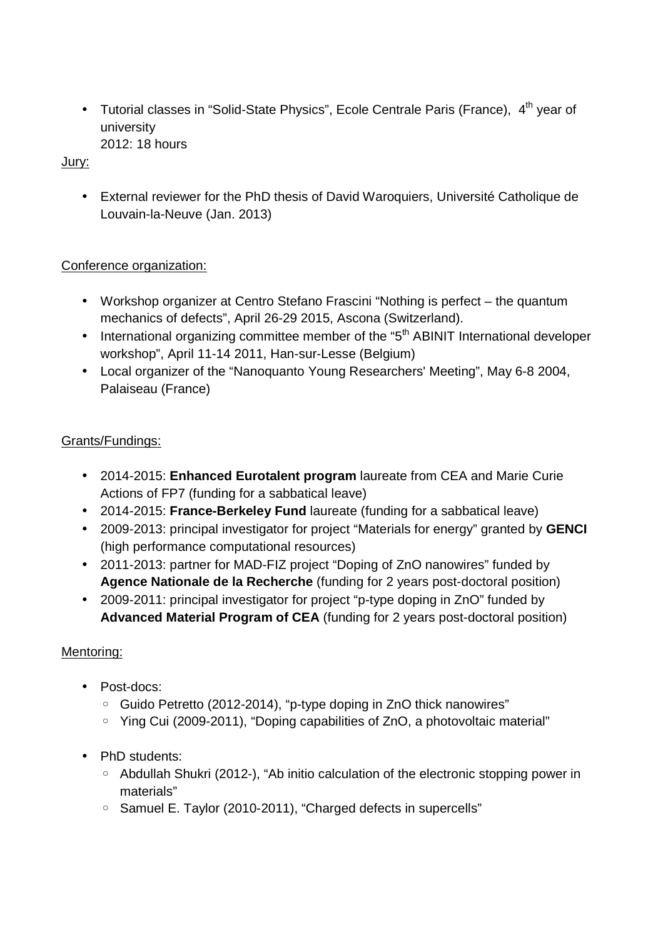• Tutorial classes in "Solid-State Physics", Ecole Centrale Paris (France),  $4<sup>th</sup>$  year of university 2012: 18 hours

## Jury:

• External reviewer for the PhD thesis of David Waroquiers, Université Catholique de Louvain-la-Neuve (Jan. 2013)

## Conference organization:

- Workshop organizer at Centro Stefano Frascini "Nothing is perfect the quantum mechanics of defects", April 26-29 2015, Ascona (Switzerland).
- International organizing committee member of the "5<sup>th</sup> ABINIT International developer workshop", April 11-14 2011, Han-sur-Lesse (Belgium)
- Local organizer of the "Nanoquanto Young Researchers' Meeting", May 6-8 2004, Palaiseau (France)

## Grants/Fundings:

- 2014-2015: **Enhanced Eurotalent program** laureate from CEA and Marie Curie Actions of FP7 (funding for a sabbatical leave)
- 2014-2015: **France-Berkeley Fund** laureate (funding for a sabbatical leave)
- 2009-2013: principal investigator for project "Materials for energy" granted by **GENCI** (high performance computational resources)
- 2011-2013: partner for MAD-FIZ project "Doping of ZnO nanowires" funded by **Agence Nationale de la Recherche** (funding for 2 years post-doctoral position)
- 2009-2011: principal investigator for project "p-type doping in ZnO" funded by **Advanced Material Program of CEA** (funding for 2 years post-doctoral position)

## Mentoring:

- Post-docs:
	- Guido Petretto (2012-2014), "p-type doping in ZnO thick nanowires"
	- Ying Cui (2009-2011), "Doping capabilities of ZnO, a photovoltaic material"
- PhD students:
	- Abdullah Shukri (2012-), "Ab initio calculation of the electronic stopping power in materials"
	- Samuel E. Taylor (2010-2011), "Charged defects in supercells"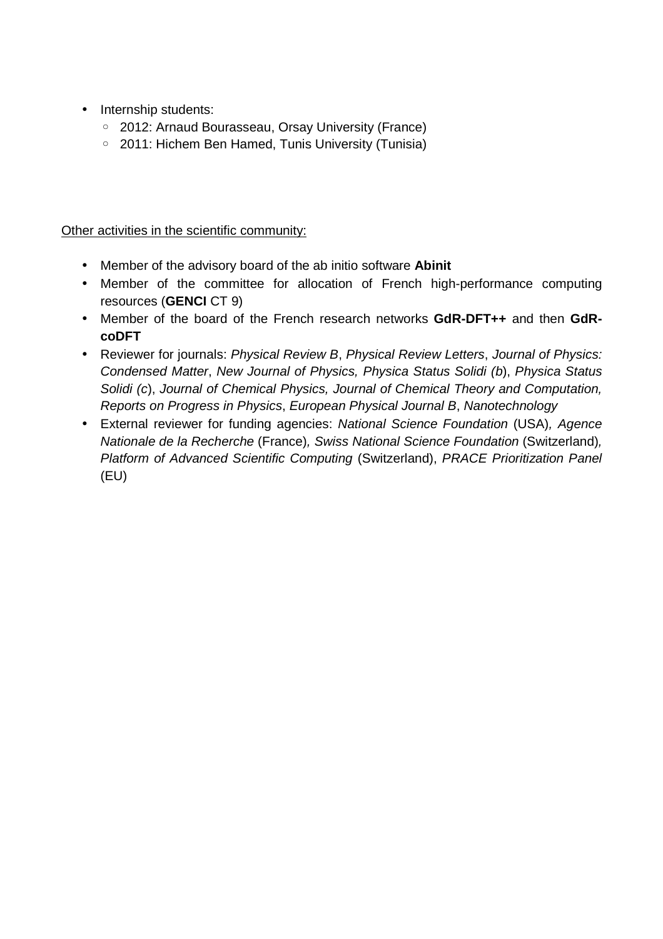- Internship students:
	- 2012: Arnaud Bourasseau, Orsay University (France)
	- 2011: Hichem Ben Hamed, Tunis University (Tunisia)

Other activities in the scientific community:

- Member of the advisory board of the ab initio software **Abinit**
- Member of the committee for allocation of French high-performance computing resources (**GENCI** CT 9)
- Member of the board of the French research networks **GdR-DFT++** and then **GdRcoDFT**
- Reviewer for journals: Physical Review B, Physical Review Letters, Journal of Physics: Condensed Matter, New Journal of Physics, Physica Status Solidi (b), Physica Status Solidi (c), Journal of Chemical Physics, Journal of Chemical Theory and Computation, Reports on Progress in Physics, European Physical Journal B, Nanotechnology
- External reviewer for funding agencies: National Science Foundation (USA), Agence Nationale de la Recherche (France), Swiss National Science Foundation (Switzerland), Platform of Advanced Scientific Computing (Switzerland), PRACE Prioritization Panel (EU)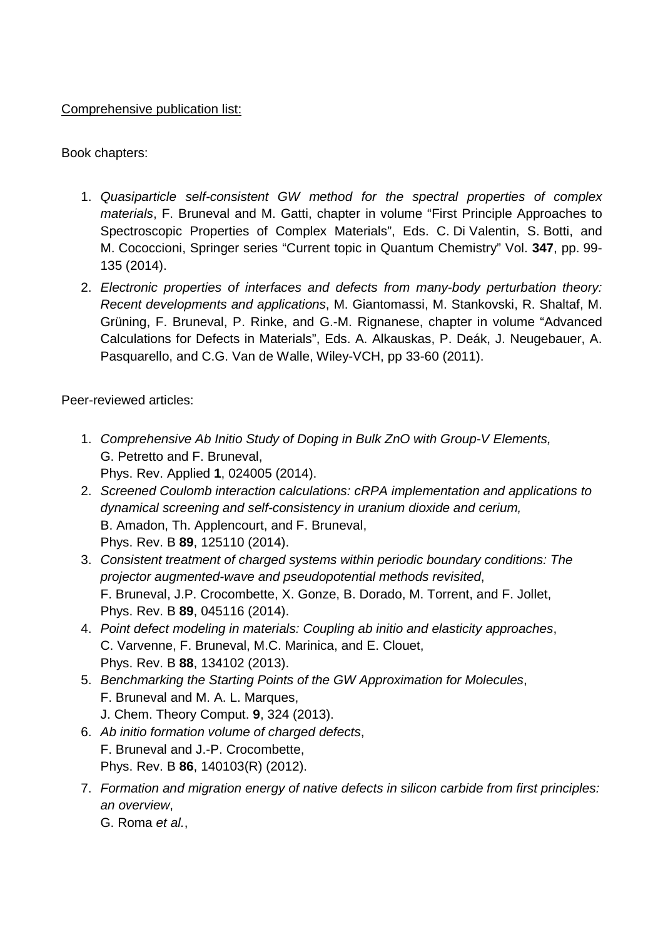## Comprehensive publication list:

## Book chapters:

- 1. Quasiparticle self-consistent GW method for the spectral properties of complex materials, F. Bruneval and M. Gatti, chapter in volume "First Principle Approaches to Spectroscopic Properties of Complex Materials", Eds. C. Di Valentin, S. Botti, and M. Cococcioni, Springer series "Current topic in Quantum Chemistry" Vol. **347**, pp. 99- 135 (2014).
- 2. Electronic properties of interfaces and defects from many-body perturbation theory: Recent developments and applications, M. Giantomassi, M. Stankovski, R. Shaltaf, M. Grüning, F. Bruneval, P. Rinke, and G.-M. Rignanese, chapter in volume "Advanced Calculations for Defects in Materials", Eds. A. Alkauskas, P. Deák, J. Neugebauer, A. Pasquarello, and C.G. Van de Walle, Wiley-VCH, pp 33-60 (2011).

Peer-reviewed articles:

- 1. Comprehensive Ab Initio Study of Doping in Bulk ZnO with Group-V Elements, G. Petretto and F. Bruneval, Phys. Rev. Applied **1**, 024005 (2014).
- 2. Screened Coulomb interaction calculations: cRPA implementation and applications to dynamical screening and self-consistency in uranium dioxide and cerium, B. Amadon, Th. Applencourt, and F. Bruneval, Phys. Rev. B **89**, 125110 (2014).
- 3. Consistent treatment of charged systems within periodic boundary conditions: The projector augmented-wave and pseudopotential methods revisited, F. Bruneval, J.P. Crocombette, X. Gonze, B. Dorado, M. Torrent, and F. Jollet, Phys. Rev. B **89**, 045116 (2014).
- 4. Point defect modeling in materials: Coupling ab initio and elasticity approaches, C. Varvenne, F. Bruneval, M.C. Marinica, and E. Clouet, Phys. Rev. B **88**, 134102 (2013).
- 5. Benchmarking the Starting Points of the GW Approximation for Molecules, F. Bruneval and M. A. L. Marques, J. Chem. Theory Comput. **9**, 324 (2013).
- 6. Ab initio formation volume of charged defects, F. Bruneval and J.-P. Crocombette, Phys. Rev. B **86**, 140103(R) (2012).
- 7. Formation and migration energy of native defects in silicon carbide from first principles: an overview, G. Roma et al.,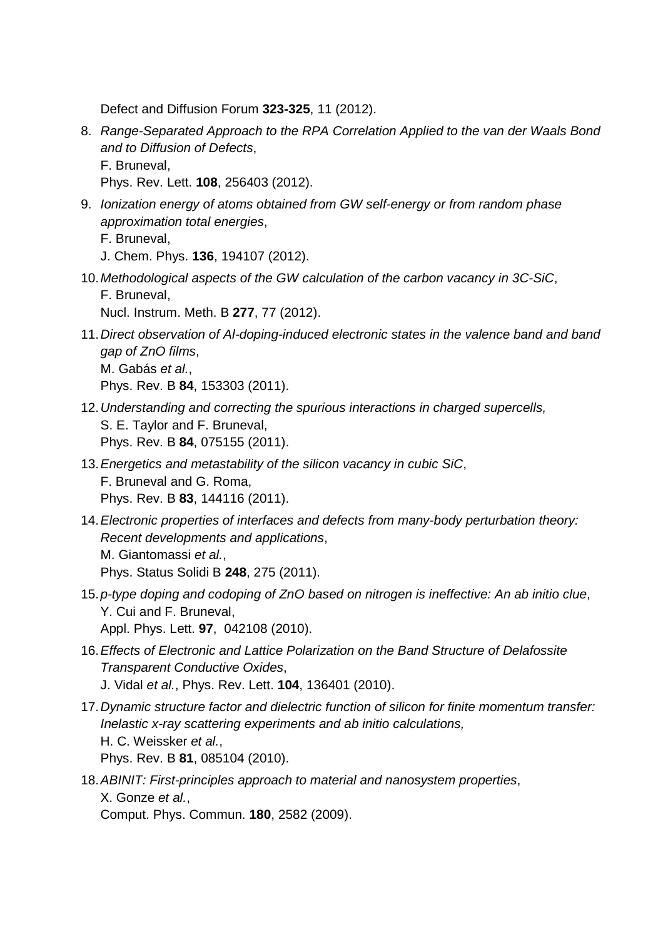Defect and Diffusion Forum **323-325**, 11 (2012).

8. Range-Separated Approach to the RPA Correlation Applied to the van der Waals Bond and to Diffusion of Defects, F. Bruneval,

Phys. Rev. Lett. **108**, 256403 (2012).

- 9. Ionization energy of atoms obtained from GW self-energy or from random phase approximation total energies,
	- F. Bruneval,
	- J. Chem. Phys. **136**, 194107 (2012).
- 10. Methodological aspects of the GW calculation of the carbon vacancy in 3C-SiC, F. Bruneval,

Nucl. Instrum. Meth. B **277**, 77 (2012).

- 11. Direct observation of Al-doping-induced electronic states in the valence band and band gap of ZnO films, M. Gabás et al., Phys. Rev. B **84**, 153303 (2011).
- 12. Understanding and correcting the spurious interactions in charged supercells, S. E. Taylor and F. Bruneval, Phys. Rev. B **84**, 075155 (2011).
- 13. Energetics and metastability of the silicon vacancy in cubic SiC. F. Bruneval and G. Roma, Phys. Rev. B **83**, 144116 (2011).
- 14. Electronic properties of interfaces and defects from many-body perturbation theory: Recent developments and applications, M. Giantomassi et al., Phys. Status Solidi B **248**, 275 (2011).
- 15. p-type doping and codoping of ZnO based on nitrogen is ineffective: An ab initio clue, Y. Cui and F. Bruneval, Appl. Phys. Lett. **97**, 042108 (2010).
- 16. Effects of Electronic and Lattice Polarization on the Band Structure of Delafossite Transparent Conductive Oxides, J. Vidal et al., Phys. Rev. Lett. **104**, 136401 (2010).
- 17. Dynamic structure factor and dielectric function of silicon for finite momentum transfer: Inelastic x-ray scattering experiments and ab initio calculations, H. C. Weissker et al., Phys. Rev. B **81**, 085104 (2010).
- 18. ABINIT: First-principles approach to material and nanosystem properties, X. Gonze et al.,

Comput. Phys. Commun. **180**, 2582 (2009).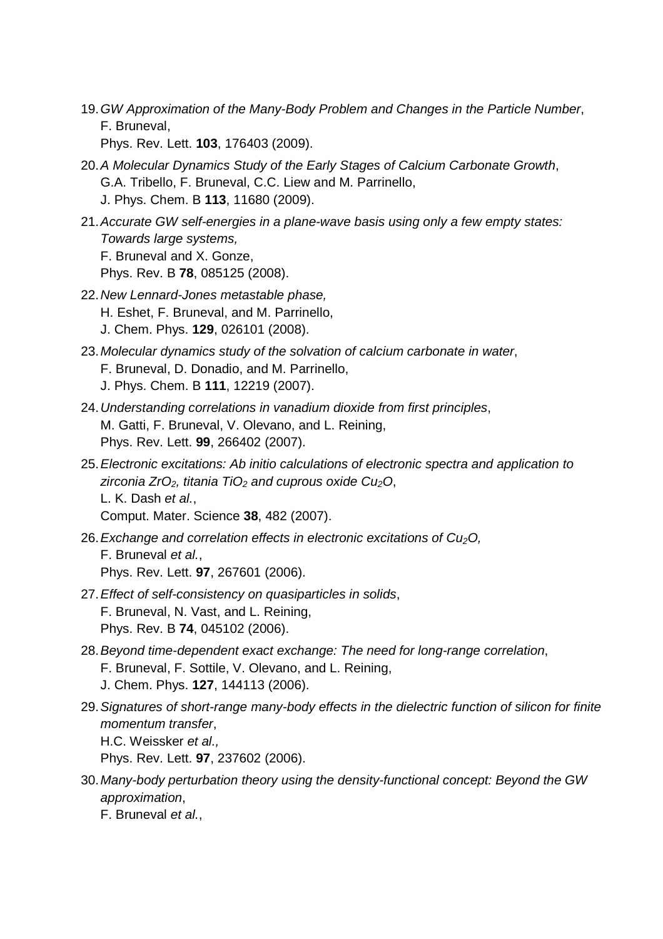19. GW Approximation of the Many-Body Problem and Changes in the Particle Number, F. Bruneval,

Phys. Rev. Lett. **103**, 176403 (2009).

- 20. A Molecular Dynamics Study of the Early Stages of Calcium Carbonate Growth, G.A. Tribello, F. Bruneval, C.C. Liew and M. Parrinello, J. Phys. Chem. B **113**, 11680 (2009).
- 21. Accurate GW self-energies in a plane-wave basis using only a few empty states: Towards large systems, F. Bruneval and X. Gonze, Phys. Rev. B **78**, 085125 (2008).
- 22. New Lennard-Jones metastable phase, H. Eshet, F. Bruneval, and M. Parrinello, J. Chem. Phys. **129**, 026101 (2008).
- 23. Molecular dynamics study of the solvation of calcium carbonate in water, F. Bruneval, D. Donadio, and M. Parrinello, J. Phys. Chem. B **111**, 12219 (2007).
- 24. Understanding correlations in vanadium dioxide from first principles, M. Gatti, F. Bruneval, V. Olevano, and L. Reining, Phys. Rev. Lett. **99**, 266402 (2007).
- 25. Electronic excitations: Ab initio calculations of electronic spectra and application to zirconia ZrO<sub>2</sub>, titania TiO<sub>2</sub> and cuprous oxide Cu<sub>2</sub>O, L. K. Dash et al., Comput. Mater. Science **38**, 482 (2007).
- 26. Exchange and correlation effects in electronic excitations of  $Cu<sub>2</sub>O$ , F. Bruneval et al., Phys. Rev. Lett. **97**, 267601 (2006).
- 27. Effect of self-consistency on quasiparticles in solids, F. Bruneval, N. Vast, and L. Reining, Phys. Rev. B **74**, 045102 (2006).
- 28. Beyond time-dependent exact exchange: The need for long-range correlation, F. Bruneval, F. Sottile, V. Olevano, and L. Reining, J. Chem. Phys. **127**, 144113 (2006).
- 29. Signatures of short-range many-body effects in the dielectric function of silicon for finite momentum transfer, H.C. Weissker et al., Phys. Rev. Lett. **97**, 237602 (2006).
- 30. Many-body perturbation theory using the density-functional concept: Beyond the GW approximation,
	- F. Bruneval et al.,